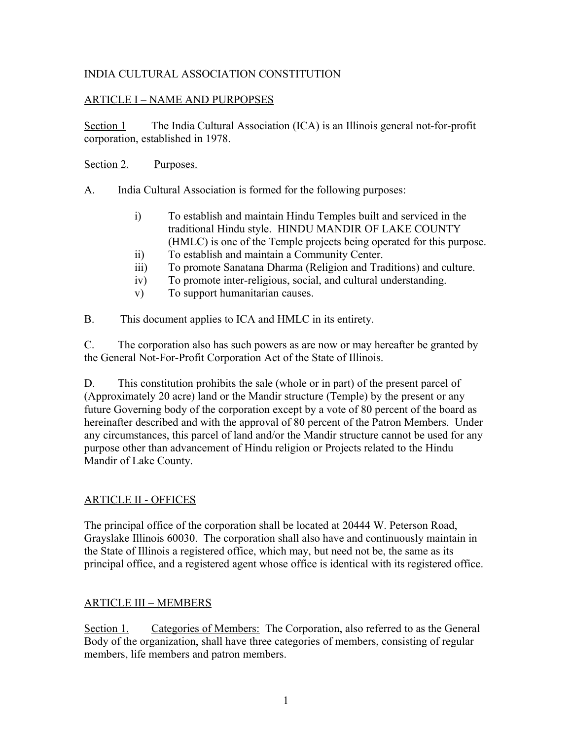## INDIA CULTURAL ASSOCIATION CONSTITUTION

## ARTICLE I – NAME AND PURPOPSES

Section 1 The India Cultural Association (ICA) is an Illinois general not-for-profit corporation, established in 1978.

#### Section 2. Purposes.

- A. India Cultural Association is formed for the following purposes:
	- i) To establish and maintain Hindu Temples built and serviced in the traditional Hindu style. HINDU MANDIR OF LAKE COUNTY (HMLC) is one of the Temple projects being operated for this purpose.
	- ii) To establish and maintain a Community Center.
	- iii) To promote Sanatana Dharma (Religion and Traditions) and culture.
	- iv) To promote inter-religious, social, and cultural understanding.
	- v) To support humanitarian causes.
- B. This document applies to ICA and HMLC in its entirety.

C. The corporation also has such powers as are now or may hereafter be granted by the General Not-For-Profit Corporation Act of the State of Illinois.

D. This constitution prohibits the sale (whole or in part) of the present parcel of (Approximately 20 acre) land or the Mandir structure (Temple) by the present or any future Governing body of the corporation except by a vote of 80 percent of the board as hereinafter described and with the approval of 80 percent of the Patron Members. Under any circumstances, this parcel of land and/or the Mandir structure cannot be used for any purpose other than advancement of Hindu religion or Projects related to the Hindu Mandir of Lake County.

### ARTICLE II - OFFICES

The principal office of the corporation shall be located at 20444 W. Peterson Road, Grayslake Illinois 60030. The corporation shall also have and continuously maintain in the State of Illinois a registered office, which may, but need not be, the same as its principal office, and a registered agent whose office is identical with its registered office.

### ARTICLE III – MEMBERS

Section 1. Categories of Members: The Corporation, also referred to as the General Body of the organization, shall have three categories of members, consisting of regular members, life members and patron members.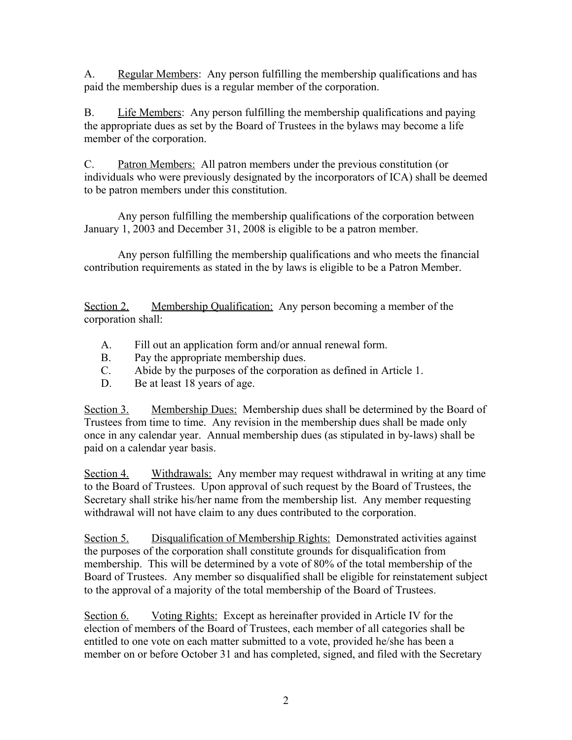A. Regular Members: Any person fulfilling the membership qualifications and has paid the membership dues is a regular member of the corporation.

B. Life Members: Any person fulfilling the membership qualifications and paying the appropriate dues as set by the Board of Trustees in the bylaws may become a life member of the corporation.

C. Patron Members: All patron members under the previous constitution (or individuals who were previously designated by the incorporators of ICA) shall be deemed to be patron members under this constitution.

Any person fulfilling the membership qualifications of the corporation between January 1, 2003 and December 31, 2008 is eligible to be a patron member.

Any person fulfilling the membership qualifications and who meets the financial contribution requirements as stated in the by laws is eligible to be a Patron Member.

Section 2. Membership Qualification: Any person becoming a member of the corporation shall:

- A. Fill out an application form and/or annual renewal form.
- B. Pay the appropriate membership dues.
- C. Abide by the purposes of the corporation as defined in Article 1.
- D. Be at least 18 years of age.

Section 3. Membership Dues: Membership dues shall be determined by the Board of Trustees from time to time. Any revision in the membership dues shall be made only once in any calendar year. Annual membership dues (as stipulated in by-laws) shall be paid on a calendar year basis.

Section 4. Withdrawals: Any member may request withdrawal in writing at any time to the Board of Trustees. Upon approval of such request by the Board of Trustees, the Secretary shall strike his/her name from the membership list. Any member requesting withdrawal will not have claim to any dues contributed to the corporation.

Section 5. Disqualification of Membership Rights: Demonstrated activities against the purposes of the corporation shall constitute grounds for disqualification from membership. This will be determined by a vote of 80% of the total membership of the Board of Trustees. Any member so disqualified shall be eligible for reinstatement subject to the approval of a majority of the total membership of the Board of Trustees.

Section 6. Voting Rights: Except as hereinafter provided in Article IV for the election of members of the Board of Trustees, each member of all categories shall be entitled to one vote on each matter submitted to a vote, provided he/she has been a member on or before October 31 and has completed, signed, and filed with the Secretary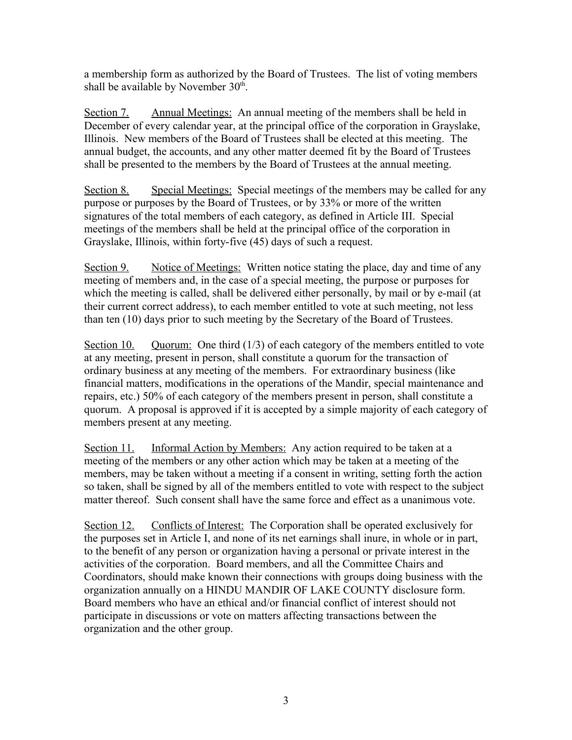a membership form as authorized by the Board of Trustees. The list of voting members shall be available by November  $30<sup>th</sup>$ .

Section 7. Annual Meetings: An annual meeting of the members shall be held in December of every calendar year, at the principal office of the corporation in Grayslake, Illinois. New members of the Board of Trustees shall be elected at this meeting. The annual budget, the accounts, and any other matter deemed fit by the Board of Trustees shall be presented to the members by the Board of Trustees at the annual meeting.

Section 8. Special Meetings: Special meetings of the members may be called for any purpose or purposes by the Board of Trustees, or by 33% or more of the written signatures of the total members of each category, as defined in Article III. Special meetings of the members shall be held at the principal office of the corporation in Grayslake, Illinois, within forty-five (45) days of such a request.

Section 9. Notice of Meetings: Written notice stating the place, day and time of any meeting of members and, in the case of a special meeting, the purpose or purposes for which the meeting is called, shall be delivered either personally, by mail or by e-mail (at their current correct address), to each member entitled to vote at such meeting, not less than ten (10) days prior to such meeting by the Secretary of the Board of Trustees.

Section 10. Quorum: One third  $(1/3)$  of each category of the members entitled to vote at any meeting, present in person, shall constitute a quorum for the transaction of ordinary business at any meeting of the members. For extraordinary business (like financial matters, modifications in the operations of the Mandir, special maintenance and repairs, etc.) 50% of each category of the members present in person, shall constitute a quorum. A proposal is approved if it is accepted by a simple majority of each category of members present at any meeting.

Section 11. Informal Action by Members: Any action required to be taken at a meeting of the members or any other action which may be taken at a meeting of the members, may be taken without a meeting if a consent in writing, setting forth the action so taken, shall be signed by all of the members entitled to vote with respect to the subject matter thereof. Such consent shall have the same force and effect as a unanimous vote.

Section 12. Conflicts of Interest: The Corporation shall be operated exclusively for the purposes set in Article I, and none of its net earnings shall inure, in whole or in part, to the benefit of any person or organization having a personal or private interest in the activities of the corporation. Board members, and all the Committee Chairs and Coordinators, should make known their connections with groups doing business with the organization annually on a HINDU MANDIR OF LAKE COUNTY disclosure form. Board members who have an ethical and/or financial conflict of interest should not participate in discussions or vote on matters affecting transactions between the organization and the other group.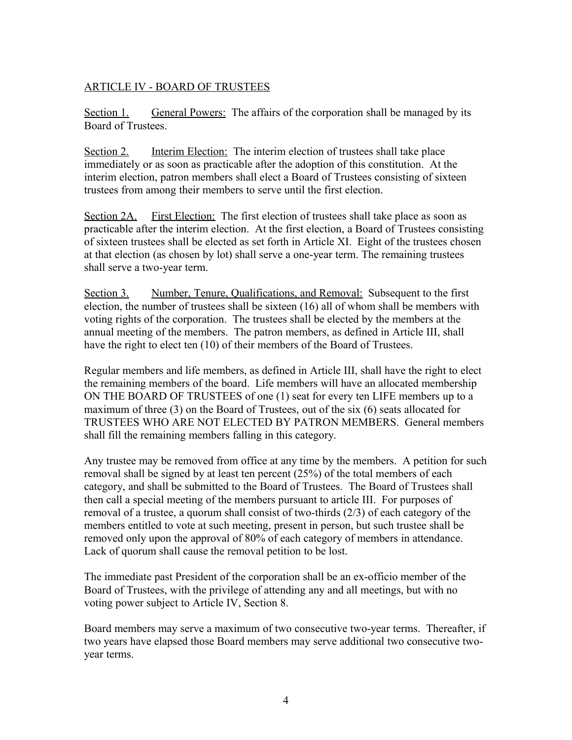## ARTICLE IV - BOARD OF TRUSTEES

Section 1. General Powers: The affairs of the corporation shall be managed by its Board of Trustees.

Section 2. Interim Election: The interim election of trustees shall take place immediately or as soon as practicable after the adoption of this constitution. At the interim election, patron members shall elect a Board of Trustees consisting of sixteen trustees from among their members to serve until the first election.

Section 2A. First Election: The first election of trustees shall take place as soon as practicable after the interim election. At the first election, a Board of Trustees consisting of sixteen trustees shall be elected as set forth in Article XI. Eight of the trustees chosen at that election (as chosen by lot) shall serve a one-year term. The remaining trustees shall serve a two-year term.

Section 3. Number, Tenure, Qualifications, and Removal: Subsequent to the first election, the number of trustees shall be sixteen (16) all of whom shall be members with voting rights of the corporation. The trustees shall be elected by the members at the annual meeting of the members. The patron members, as defined in Article III, shall have the right to elect ten (10) of their members of the Board of Trustees.

Regular members and life members, as defined in Article III, shall have the right to elect the remaining members of the board. Life members will have an allocated membership ON THE BOARD OF TRUSTEES of one (1) seat for every ten LIFE members up to a maximum of three (3) on the Board of Trustees, out of the six (6) seats allocated for TRUSTEES WHO ARE NOT ELECTED BY PATRON MEMBERS. General members shall fill the remaining members falling in this category.

Any trustee may be removed from office at any time by the members. A petition for such removal shall be signed by at least ten percent (25%) of the total members of each category, and shall be submitted to the Board of Trustees. The Board of Trustees shall then call a special meeting of the members pursuant to article III. For purposes of removal of a trustee, a quorum shall consist of two-thirds (2/3) of each category of the members entitled to vote at such meeting, present in person, but such trustee shall be removed only upon the approval of 80% of each category of members in attendance. Lack of quorum shall cause the removal petition to be lost.

The immediate past President of the corporation shall be an ex-officio member of the Board of Trustees, with the privilege of attending any and all meetings, but with no voting power subject to Article IV, Section 8.

Board members may serve a maximum of two consecutive two-year terms. Thereafter, if two years have elapsed those Board members may serve additional two consecutive twoyear terms.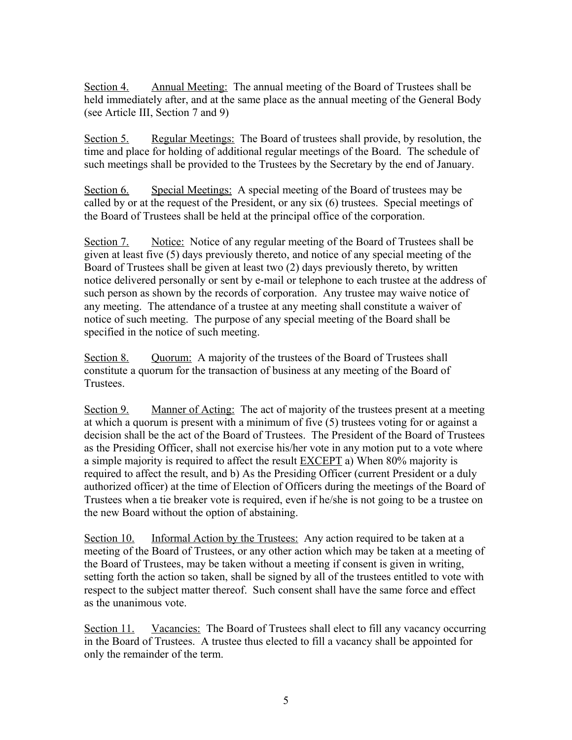Section 4. Annual Meeting: The annual meeting of the Board of Trustees shall be held immediately after, and at the same place as the annual meeting of the General Body (see Article III, Section 7 and 9)

Section 5. Regular Meetings: The Board of trustees shall provide, by resolution, the time and place for holding of additional regular meetings of the Board. The schedule of such meetings shall be provided to the Trustees by the Secretary by the end of January.

Section 6. Special Meetings: A special meeting of the Board of trustees may be called by or at the request of the President, or any six (6) trustees. Special meetings of the Board of Trustees shall be held at the principal office of the corporation.

Section 7. Notice: Notice of any regular meeting of the Board of Trustees shall be given at least five (5) days previously thereto, and notice of any special meeting of the Board of Trustees shall be given at least two (2) days previously thereto, by written notice delivered personally or sent by e-mail or telephone to each trustee at the address of such person as shown by the records of corporation. Any trustee may waive notice of any meeting. The attendance of a trustee at any meeting shall constitute a waiver of notice of such meeting. The purpose of any special meeting of the Board shall be specified in the notice of such meeting.

Section 8. Quorum: A majority of the trustees of the Board of Trustees shall constitute a quorum for the transaction of business at any meeting of the Board of Trustees.

Section 9. Manner of Acting: The act of majority of the trustees present at a meeting at which a quorum is present with a minimum of five (5) trustees voting for or against a decision shall be the act of the Board of Trustees. The President of the Board of Trustees as the Presiding Officer, shall not exercise his/her vote in any motion put to a vote where a simple majority is required to affect the result EXCEPT a) When 80% majority is required to affect the result, and b) As the Presiding Officer (current President or a duly authorized officer) at the time of Election of Officers during the meetings of the Board of Trustees when a tie breaker vote is required, even if he/she is not going to be a trustee on the new Board without the option of abstaining.

Section 10. Informal Action by the Trustees: Any action required to be taken at a meeting of the Board of Trustees, or any other action which may be taken at a meeting of the Board of Trustees, may be taken without a meeting if consent is given in writing, setting forth the action so taken, shall be signed by all of the trustees entitled to vote with respect to the subject matter thereof. Such consent shall have the same force and effect as the unanimous vote.

Section 11. Vacancies: The Board of Trustees shall elect to fill any vacancy occurring in the Board of Trustees. A trustee thus elected to fill a vacancy shall be appointed for only the remainder of the term.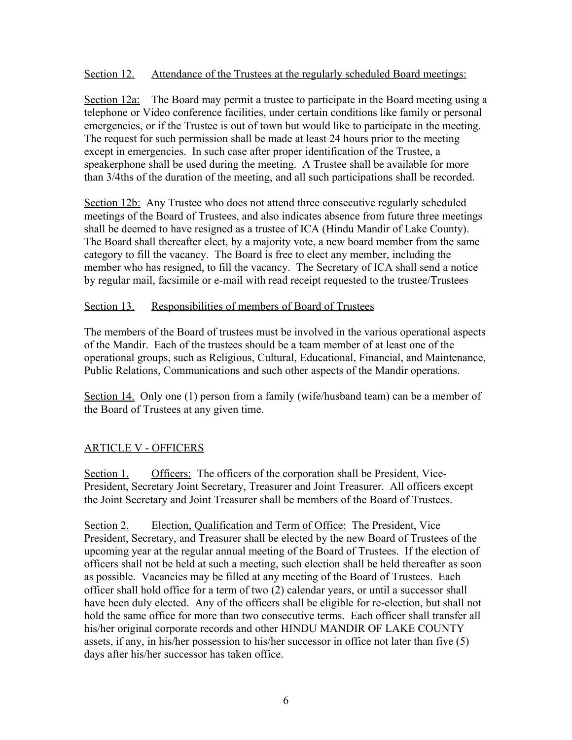#### Section 12. Attendance of the Trustees at the regularly scheduled Board meetings:

Section 12a: The Board may permit a trustee to participate in the Board meeting using a telephone or Video conference facilities, under certain conditions like family or personal emergencies, or if the Trustee is out of town but would like to participate in the meeting. The request for such permission shall be made at least 24 hours prior to the meeting except in emergencies. In such case after proper identification of the Trustee, a speakerphone shall be used during the meeting. A Trustee shall be available for more than 3/4ths of the duration of the meeting, and all such participations shall be recorded.

Section 12b: Any Trustee who does not attend three consecutive regularly scheduled meetings of the Board of Trustees, and also indicates absence from future three meetings shall be deemed to have resigned as a trustee of ICA (Hindu Mandir of Lake County). The Board shall thereafter elect, by a majority vote, a new board member from the same category to fill the vacancy. The Board is free to elect any member, including the member who has resigned, to fill the vacancy. The Secretary of ICA shall send a notice by regular mail, facsimile or e-mail with read receipt requested to the trustee/Trustees

#### Section 13. Responsibilities of members of Board of Trustees

The members of the Board of trustees must be involved in the various operational aspects of the Mandir. Each of the trustees should be a team member of at least one of the operational groups, such as Religious, Cultural, Educational, Financial, and Maintenance, Public Relations, Communications and such other aspects of the Mandir operations.

Section 14. Only one (1) person from a family (wife/husband team) can be a member of the Board of Trustees at any given time.

### ARTICLE V - OFFICERS

Section 1. Officers: The officers of the corporation shall be President, Vice-President, Secretary Joint Secretary, Treasurer and Joint Treasurer. All officers except the Joint Secretary and Joint Treasurer shall be members of the Board of Trustees.

Section 2. Election, Qualification and Term of Office: The President, Vice President, Secretary, and Treasurer shall be elected by the new Board of Trustees of the upcoming year at the regular annual meeting of the Board of Trustees. If the election of officers shall not be held at such a meeting, such election shall be held thereafter as soon as possible. Vacancies may be filled at any meeting of the Board of Trustees. Each officer shall hold office for a term of two (2) calendar years, or until a successor shall have been duly elected. Any of the officers shall be eligible for re-election, but shall not hold the same office for more than two consecutive terms. Each officer shall transfer all his/her original corporate records and other HINDU MANDIR OF LAKE COUNTY assets, if any, in his/her possession to his/her successor in office not later than five (5) days after his/her successor has taken office.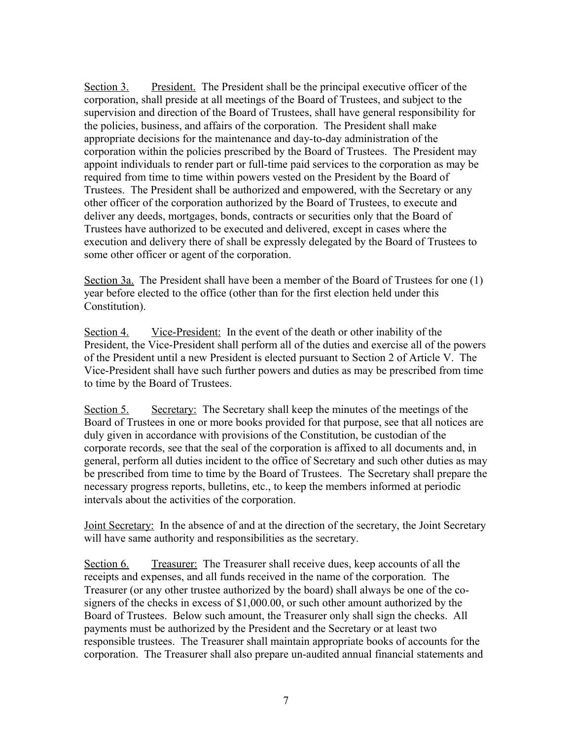Section 3. President. The President shall be the principal executive officer of the corporation, shall preside at all meetings of the Board of Trustees, and subject to the supervision and direction of the Board of Trustees, shall have general responsibility for the policies, business, and affairs of the corporation. The President shall make appropriate decisions for the maintenance and day-to-day administration of the corporation within the policies prescribed by the Board of Trustees. The President may appoint individuals to render part or full-time paid services to the corporation as may be required from time to time within powers vested on the President by the Board of Trustees. The President shall be authorized and empowered, with the Secretary or any other officer of the corporation authorized by the Board of Trustees, to execute and deliver any deeds, mortgages, bonds, contracts or securities only that the Board of Trustees have authorized to be executed and delivered, except in cases where the execution and delivery there of shall be expressly delegated by the Board of Trustees to some other officer or agent of the corporation.

Section 3a. The President shall have been a member of the Board of Trustees for one (1) year before elected to the office (other than for the first election held under this Constitution).

Section 4. Vice-President: In the event of the death or other inability of the President, the Vice-President shall perform all of the duties and exercise all of the powers of the President until a new President is elected pursuant to Section 2 of Article V. The Vice-President shall have such further powers and duties as may be prescribed from time to time by the Board of Trustees.

Section 5. Secretary: The Secretary shall keep the minutes of the meetings of the Board of Trustees in one or more books provided for that purpose, see that all notices are duly given in accordance with provisions of the Constitution, be custodian of the corporate records, see that the seal of the corporation is affixed to all documents and, in general, perform all duties incident to the office of Secretary and such other duties as may be prescribed from time to time by the Board of Trustees. The Secretary shall prepare the necessary progress reports, bulletins, etc., to keep the members informed at periodic intervals about the activities of the corporation.

Joint Secretary: In the absence of and at the direction of the secretary, the Joint Secretary will have same authority and responsibilities as the secretary.

Section 6. Treasurer: The Treasurer shall receive dues, keep accounts of all the receipts and expenses, and all funds received in the name of the corporation. The Treasurer (or any other trustee authorized by the board) shall always be one of the cosigners of the checks in excess of \$1,000.00, or such other amount authorized by the Board of Trustees. Below such amount, the Treasurer only shall sign the checks. All payments must be authorized by the President and the Secretary or at least two responsible trustees. The Treasurer shall maintain appropriate books of accounts for the corporation. The Treasurer shall also prepare un-audited annual financial statements and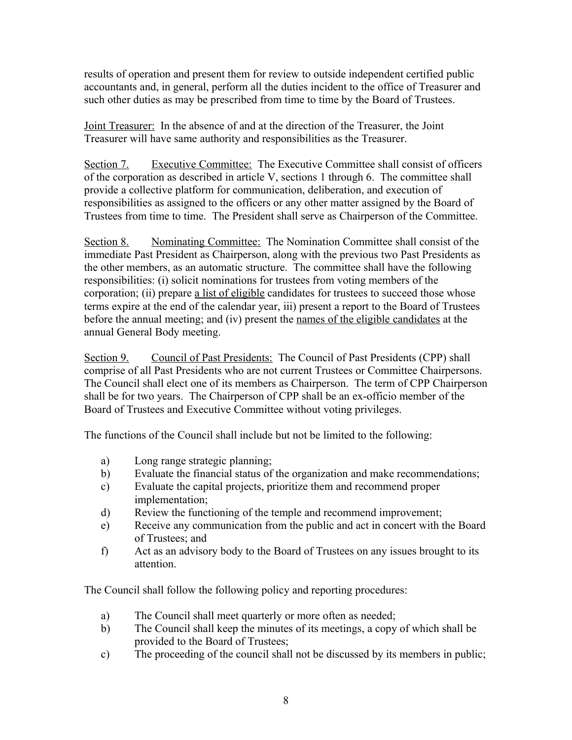results of operation and present them for review to outside independent certified public accountants and, in general, perform all the duties incident to the office of Treasurer and such other duties as may be prescribed from time to time by the Board of Trustees.

Joint Treasurer: In the absence of and at the direction of the Treasurer, the Joint Treasurer will have same authority and responsibilities as the Treasurer.

Section 7. Executive Committee: The Executive Committee shall consist of officers of the corporation as described in article V, sections 1 through 6. The committee shall provide a collective platform for communication, deliberation, and execution of responsibilities as assigned to the officers or any other matter assigned by the Board of Trustees from time to time. The President shall serve as Chairperson of the Committee.

Section 8. Nominating Committee: The Nomination Committee shall consist of the immediate Past President as Chairperson, along with the previous two Past Presidents as the other members, as an automatic structure. The committee shall have the following responsibilities: (i) solicit nominations for trustees from voting members of the corporation; (ii) prepare a list of eligible candidates for trustees to succeed those whose terms expire at the end of the calendar year, iii) present a report to the Board of Trustees before the annual meeting; and (iv) present the names of the eligible candidates at the annual General Body meeting.

Section 9. Council of Past Presidents: The Council of Past Presidents (CPP) shall comprise of all Past Presidents who are not current Trustees or Committee Chairpersons. The Council shall elect one of its members as Chairperson. The term of CPP Chairperson shall be for two years. The Chairperson of CPP shall be an ex-officio member of the Board of Trustees and Executive Committee without voting privileges.

The functions of the Council shall include but not be limited to the following:

- a) Long range strategic planning;
- b) Evaluate the financial status of the organization and make recommendations;
- c) Evaluate the capital projects, prioritize them and recommend proper implementation;
- d) Review the functioning of the temple and recommend improvement;
- e) Receive any communication from the public and act in concert with the Board of Trustees; and
- f) Act as an advisory body to the Board of Trustees on any issues brought to its attention.

The Council shall follow the following policy and reporting procedures:

- a) The Council shall meet quarterly or more often as needed;
- b) The Council shall keep the minutes of its meetings, a copy of which shall be provided to the Board of Trustees;
- c) The proceeding of the council shall not be discussed by its members in public;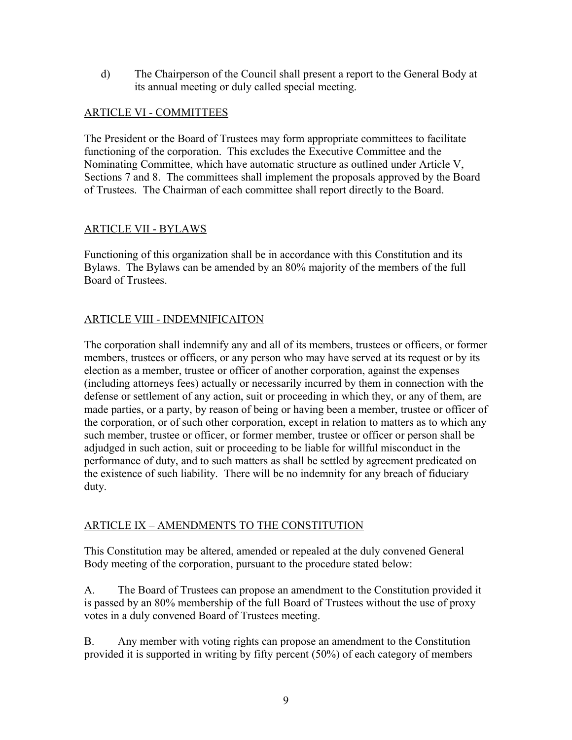d) The Chairperson of the Council shall present a report to the General Body at its annual meeting or duly called special meeting.

## ARTICLE VI - COMMITTEES

The President or the Board of Trustees may form appropriate committees to facilitate functioning of the corporation. This excludes the Executive Committee and the Nominating Committee, which have automatic structure as outlined under Article V, Sections 7 and 8. The committees shall implement the proposals approved by the Board of Trustees. The Chairman of each committee shall report directly to the Board.

## ARTICLE VII - BYLAWS

Functioning of this organization shall be in accordance with this Constitution and its Bylaws. The Bylaws can be amended by an 80% majority of the members of the full Board of Trustees.

# ARTICLE VIII - INDEMNIFICAITON

The corporation shall indemnify any and all of its members, trustees or officers, or former members, trustees or officers, or any person who may have served at its request or by its election as a member, trustee or officer of another corporation, against the expenses (including attorneys fees) actually or necessarily incurred by them in connection with the defense or settlement of any action, suit or proceeding in which they, or any of them, are made parties, or a party, by reason of being or having been a member, trustee or officer of the corporation, or of such other corporation, except in relation to matters as to which any such member, trustee or officer, or former member, trustee or officer or person shall be adjudged in such action, suit or proceeding to be liable for willful misconduct in the performance of duty, and to such matters as shall be settled by agreement predicated on the existence of such liability. There will be no indemnity for any breach of fiduciary duty.

# ARTICLE IX – AMENDMENTS TO THE CONSTITUTION

This Constitution may be altered, amended or repealed at the duly convened General Body meeting of the corporation, pursuant to the procedure stated below:

A. The Board of Trustees can propose an amendment to the Constitution provided it is passed by an 80% membership of the full Board of Trustees without the use of proxy votes in a duly convened Board of Trustees meeting.

B. Any member with voting rights can propose an amendment to the Constitution provided it is supported in writing by fifty percent (50%) of each category of members